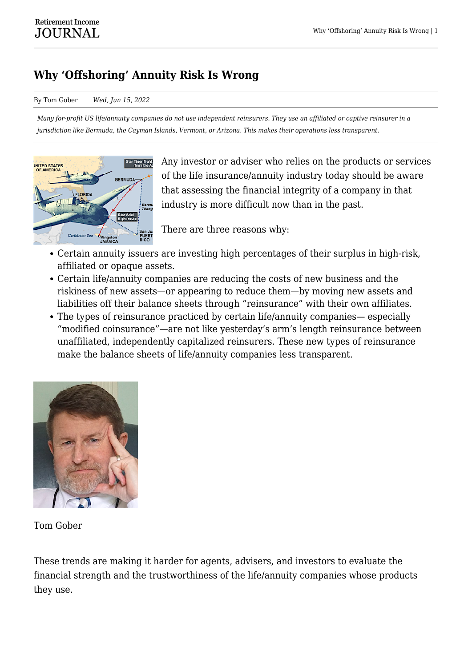## **Why 'Offshoring' Annuity Risk Is Wrong**

## By Tom Gober *Wed, Jun 15, 2022*

*Many for-profit US life/annuity companies do not use independent reinsurers. They use an affiliated or captive reinsurer in a jurisdiction like Bermuda, the Cayman Islands, Vermont, or Arizona. This makes their operations less transparent.*



Any investor or adviser who relies on the products or services of the life insurance/annuity industry today should be aware that assessing the financial integrity of a company in that industry is more difficult now than in the past.

There are three reasons why:

- Certain annuity issuers are investing high percentages of their surplus in high-risk, affiliated or opaque assets.
- Certain life/annuity companies are reducing the costs of new business and the riskiness of new assets—or appearing to reduce them—by moving new assets and liabilities off their balance sheets through "reinsurance" with their own affiliates.
- The types of reinsurance practiced by certain life/annuity companies— especially "modified coinsurance"—are not like yesterday's arm's length reinsurance between unaffiliated, independently capitalized reinsurers. These new types of reinsurance make the balance sheets of life/annuity companies less transparent.



Tom Gober

These trends are making it harder for agents, advisers, and investors to evaluate the financial strength and the trustworthiness of the life/annuity companies whose products they use.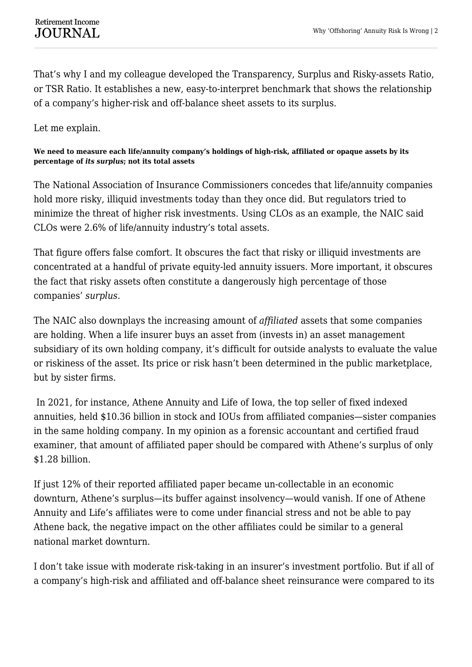That's why I and my colleague developed the Transparency, Surplus and Risky-assets Ratio, or TSR Ratio. It establishes a new, easy-to-interpret benchmark that shows the relationship of a company's higher-risk and off-balance sheet assets to its surplus.

Let me explain.

**We need to measure each life/annuity company's holdings of high-risk, affiliated or opaque assets by its percentage of** *its surplus***; not its total assets**

The National Association of Insurance Commissioners concedes that life/annuity companies hold more risky, illiquid investments today than they once did. But regulators tried to minimize the threat of higher risk investments. Using CLOs as an example, the NAIC said CLOs were 2.6% of life/annuity industry's total assets.

That figure offers false comfort. It obscures the fact that risky or illiquid investments are concentrated at a handful of private equity-led annuity issuers. More important, it obscures the fact that risky assets often constitute a dangerously high percentage of those companies' *surplus*.

The NAIC also downplays the increasing amount of *affiliated* assets that some companies are holding. When a life insurer buys an asset from (invests in) an asset management subsidiary of its own holding company, it's difficult for outside analysts to evaluate the value or riskiness of the asset. Its price or risk hasn't been determined in the public marketplace, but by sister firms.

In 2021, for instance, Athene Annuity and Life of Iowa, the top seller of fixed indexed annuities, held \$10.36 billion in stock and IOUs from affiliated companies—sister companies in the same holding company. In my opinion as a forensic accountant and certified fraud examiner, that amount of affiliated paper should be compared with Athene's surplus of only \$1.28 billion.

If just 12% of their reported affiliated paper became un-collectable in an economic downturn, Athene's surplus—its buffer against insolvency—would vanish. If one of Athene Annuity and Life's affiliates were to come under financial stress and not be able to pay Athene back, the negative impact on the other affiliates could be similar to a general national market downturn.

I don't take issue with moderate risk-taking in an insurer's investment portfolio. But if all of a company's high-risk and affiliated and off-balance sheet reinsurance were compared to its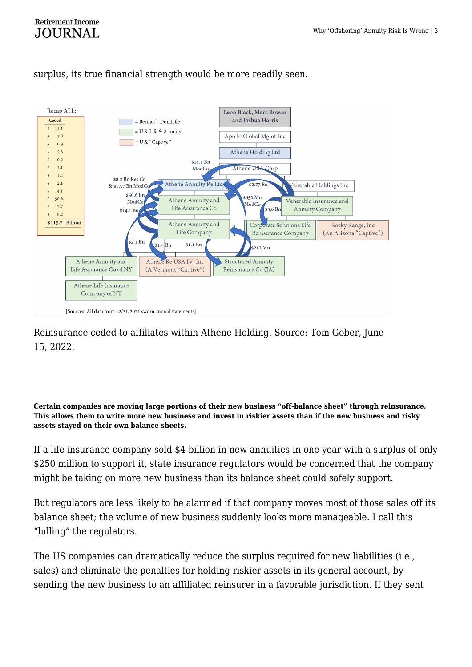

surplus, its true financial strength would be more readily seen.

Reinsurance ceded to affiliates within Athene Holding. Source: Tom Gober, June 15, 2022.

**Certain companies are moving large portions of their new business "off-balance sheet" through reinsurance. This allows them to write more new business and invest in riskier assets than if the new business and risky assets stayed on their own balance sheets.**

If a life insurance company sold \$4 billion in new annuities in one year with a surplus of only \$250 million to support it, state insurance regulators would be concerned that the company might be taking on more new business than its balance sheet could safely support.

But regulators are less likely to be alarmed if that company moves most of those sales off its balance sheet; the volume of new business suddenly looks more manageable. I call this "lulling" the regulators.

The US companies can dramatically reduce the surplus required for new liabilities (i.e., sales) and eliminate the penalties for holding riskier assets in its general account, by sending the new business to an affiliated reinsurer in a favorable jurisdiction. If they sent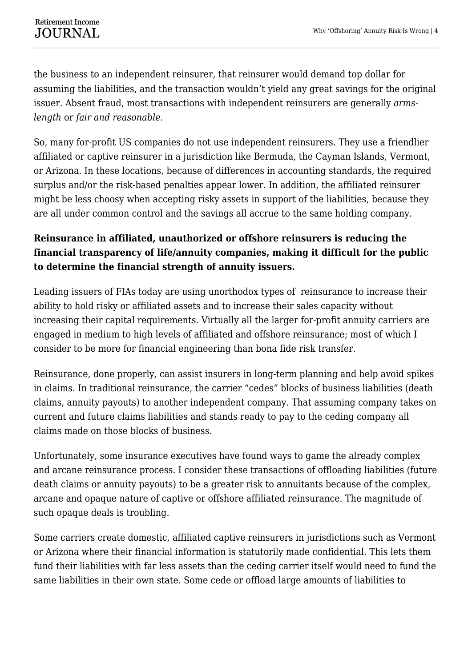the business to an independent reinsurer, that reinsurer would demand top dollar for assuming the liabilities, and the transaction wouldn't yield any great savings for the original issuer. Absent fraud, most transactions with independent reinsurers are generally *armslength* or *fair and reasonable*.

So, many for-profit US companies do not use independent reinsurers. They use a friendlier affiliated or captive reinsurer in a jurisdiction like Bermuda, the Cayman Islands, Vermont, or Arizona. In these locations, because of differences in accounting standards, the required surplus and/or the risk-based penalties appear lower. In addition, the affiliated reinsurer might be less choosy when accepting risky assets in support of the liabilities, because they are all under common control and the savings all accrue to the same holding company.

## **Reinsurance in affiliated, unauthorized or offshore reinsurers is reducing the financial transparency of life/annuity companies, making it difficult for the public to determine the financial strength of annuity issuers.**

Leading issuers of FIAs today are using unorthodox types of reinsurance to increase their ability to hold risky or affiliated assets and to increase their sales capacity without increasing their capital requirements. Virtually all the larger for-profit annuity carriers are engaged in medium to high levels of affiliated and offshore reinsurance; most of which I consider to be more for financial engineering than bona fide risk transfer.

Reinsurance, done properly, can assist insurers in long-term planning and help avoid spikes in claims. In traditional reinsurance, the carrier "cedes" blocks of business liabilities (death claims, annuity payouts) to another independent company. That assuming company takes on current and future claims liabilities and stands ready to pay to the ceding company all claims made on those blocks of business.

Unfortunately, some insurance executives have found ways to game the already complex and arcane reinsurance process. I consider these transactions of offloading liabilities (future death claims or annuity payouts) to be a greater risk to annuitants because of the complex, arcane and opaque nature of captive or offshore affiliated reinsurance. The magnitude of such opaque deals is troubling.

Some carriers create domestic, affiliated captive reinsurers in jurisdictions such as Vermont or Arizona where their financial information is statutorily made confidential. This lets them fund their liabilities with far less assets than the ceding carrier itself would need to fund the same liabilities in their own state. Some cede or offload large amounts of liabilities to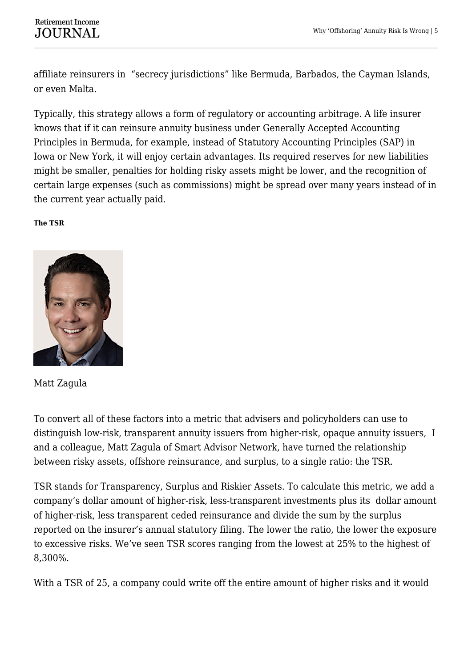affiliate reinsurers in "secrecy jurisdictions" like Bermuda, Barbados, the Cayman Islands, or even Malta.

Typically, this strategy allows a form of regulatory or accounting arbitrage. A life insurer knows that if it can reinsure annuity business under Generally Accepted Accounting Principles in Bermuda, for example, instead of Statutory Accounting Principles (SAP) in Iowa or New York, it will enjoy certain advantages. Its required reserves for new liabilities might be smaller, penalties for holding risky assets might be lower, and the recognition of certain large expenses (such as commissions) might be spread over many years instead of in the current year actually paid.

## **The TSR**



Matt Zagula

To convert all of these factors into a metric that advisers and policyholders can use to distinguish low-risk, transparent annuity issuers from higher-risk, opaque annuity issuers, I and a colleague, Matt Zagula of Smart Advisor Network, have turned the relationship between risky assets, offshore reinsurance, and surplus, to a single ratio: the TSR.

TSR stands for Transparency, Surplus and Riskier Assets. To calculate this metric, we add a company's dollar amount of higher-risk, less-transparent investments plus its dollar amount of higher-risk, less transparent ceded reinsurance and divide the sum by the surplus reported on the insurer's annual statutory filing. The lower the ratio, the lower the exposure to excessive risks. We've seen TSR scores ranging from the lowest at 25% to the highest of 8,300%.

With a TSR of 25, a company could write off the entire amount of higher risks and it would